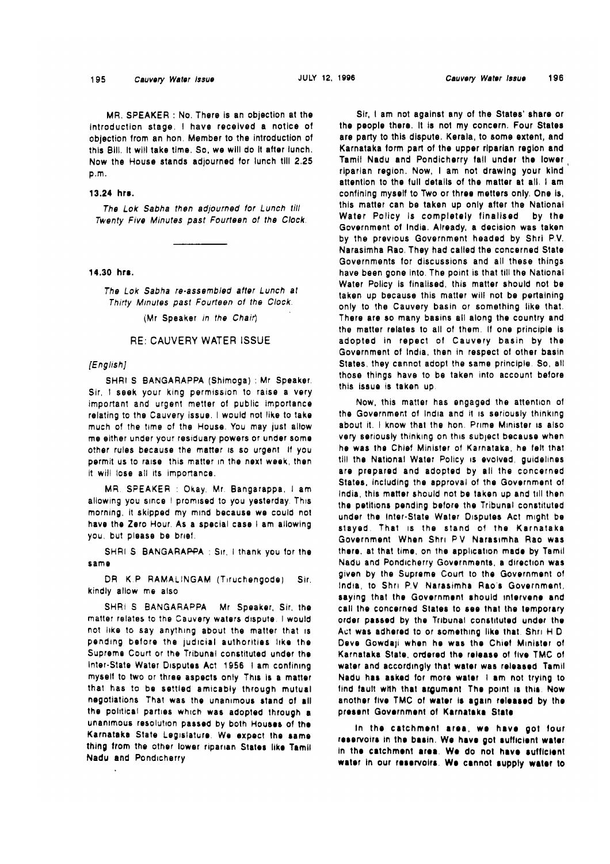195

MR. SPEAKER : No. There is an objection at the introduction stage. I have received a notice of objection from an hon. Member to the introduction of this Bill. It will take time. So, we will do It after lunch. Now the House stands adjourned for lunch till 2.25 p.m.

### **13.24 hrr.**

The Lok Sabha then adjourned tor Lunch till Twenty Five Minutes past Fourteen ot the Clock.

### **14.30 hre.**

The Lok Sabha re-assembled after Lunch at Thirty Minutes past Fourteen ot the Clock.

(Mr Speaker in the Chair)

### RE: CAUVERY WATER **ISSUE**

# [English]

SHRI S BANGARAPPA (Shimoga) : Mr Speaker. Sir, 1 seek your king permission to raise a very important and urgent metter of public importance relating to the Cauvery issue. I would not like to take much of the time of the House. You may just allow me either under your residuary powers or under some other rules because the matter 1s so urgent If you permit us to raise this matter In the next week, then it will lose all its importance.

MR. SPEAKER : Okay. Mr. Bangarappa. I am allowing you since I promised to you yesterday. This morning, it skipped my mind because we could not have the Zero Hour. As a special case I am allowing you, but please be brief.

SHRI S BANGARAPPA : Sir, I thank you for the same

DR K.P RAMALINGAM (Tiruchengode) Sir. kindly allow me also

SHRI S BANGARAPPA Mr Speaker, Sir, the matter relates to the Cauvery waters dispute. I would not like to say anything about the matter that is pending before the judicial authorities like the Supreme Court or the Tribunal constituted under the Inter-State Water Disputes Act 1956 1 am confining myself to two or three aspects only Thls is a matter that has to be settled amicably through mutual negotiations That was the unanlmous stand of all the political parties which was adopted through a unanimous resolution passed by both Houses of the Karnataka State Legislature. We expect the same thing trom the other lower riparian States like Tamil Nadu and Pondicherry

Sir, i am not against any of the States' share or the people there. It is not my concern. Four States are party to this dispute. Kerala, to some extent, and Karnataka form part of the upper riparian region and Tamil Nadu and Pondicherry fall under the lower, riparian region. Now, I am not drawing your klnd attention to the full details of the matter at all. I am confining myself to Two or three metters only, One Is, this matter can be taken up only after the National Water Policy is completely finalised by the Government of India. Already, a decision was taken by the previous Government headed by Shrl P.V. Narasimha Rao. They had called the concerned State Governments for discussions and all these things have been gone Into. The point is that till the National Water Policy is finalised, this matter should not be taken up because this matter will not be pertalning only to the Cauvery basin or something like that. There are so many basins all along the country and the matter relates to all of them. If one principle is adopted in repect of Cauvery basin by the Government of India, then in respect of other basin States, they cannot adopt the same principle So, all those things have to be taken into account before this issue is taken up.

Now, this matter has engaged the attention of the Government of India and it is seriously thinking about it. I know that the hon. Prime Minister is also very seriously thinklng on this subject because when he was the Chief Minister of Karnataka, he felt that till the National Water Policy is evolved, guidelines are prepared and adopted by all the concerned States, including the approval of the Government of India, this matter should not be taken up and 1111 then the petitions pending before the Tribunal constituted under the Inter-State Water Disputes Act might be stayed. That is the stand of the Karnataka Government When Shri PV Narasimha Rao was there, at that time, on the application made by Tamil Nadu and Pondicherry Governments, a direction was given by the Supreme Court lo the Government of India, to Shri P.V. Narasimha Rao's Government, saying that the Government should intervene and call the concerned States to see that Iho temporary order passed by the Tribunal constituted under the Act was adhered to or something llke that. Shrl H D Deve Gowdaji when he was the Chief Minister of Karnataka State, ordered the release of flve TMC of water and accordingly that water was released Tamil Nadu has asked for more water I am not trying to find fault with that argument. The point is this. Now another five TMC of water is again released by the present Government of Karnataka State

in the catchment area, we have got four reservoirs in the basin. We have got sufficient water in the catchment area. We do not have sufficient water in our reservoirs. We cannot supply water to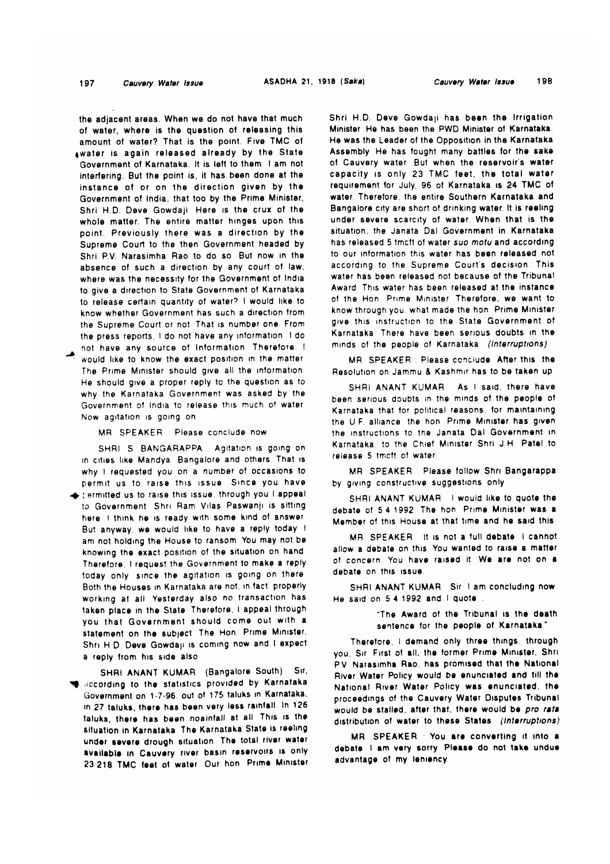#### 197 Cauvery Water Issue

the adiacent areas. When we do not have that much of water, where is the question of releasing this amount of water? That is the point. Five TMC of awater is again released already by the State Government of Karnataka. It is left to them I am not interfering. But the point is, it has been done at the instance of or on the direction given by the Government of India, that too by the Prime Minister, Shri H.D. Deve Gowdaji Here is the crux of the whole matter. The entire matter hinges upon this point. Previously there was a direction by the Supreme Court to the then Government headed by Shri P.V. Narasimha Rao to do so But now in the absence of such a direction by any court of law, where was the necessity for the Government of India to give a direction to State Government of Karnataka to release certain quantity of water? I would like to know whether Government has such a direction from the Supreme Court or not. That is number one. From the press reports. I do not have any information I do not have any source of Information Therefore.

would like to know the exact position in the matter The Prime Minister should give all the information He should give a proper reply to the question as to why the Karnataka Government was asked by the Government of India to release this much of water Now agitation is going on

MR SPEAKER Please conclude now

SHRI S BANGARAPPA Agitation is going on in cities like Mandya. Bangalore and others. That is why I requested you on a number of occasions to permit us to raise this issue. Since you have e ; ermitted us to raise this issue, through you I appeal to Government. Shri Ram Vilas Paswanji is sitting here I think he is ready with some kind of answer. But anyway, we would like to have a reply today if am not holding the House to ransom. You may not be knowing the exact position of the situation on hand Therefore, I request the Government to make a reply today only since the agitation is going on there Both the Houses in Karnataka are not, in fact properly working at all. Yesterday also no transaction has taken place in the State Therefore, I appeal through you that Government should come out with a statement on the subject. The Hon. Prime Minister, Shri H.D. Deve Gowdaji is coming now and I expect a reply from his side also

SHRI ANANT KUMAR (Bangalore South) Sir, seconding to the statistics provided by Karnataka Government on 1-7-96, out of 175 taluks in Karnataka. in 27 taluks, there has been very less rainfall. In 126 taluks, there has been noaintall at all. This is the situation in Karnataka The Karnataka State is reeling under severe drough situation. The total river water available in Cauvery river basin reservoirs is only 23 218 TMC feet of water. Our hon. Prime Minister Shri H.D. Deve Gowdaji has been the Irrigation Minister He has been the PWD Minister of Karnataka. He was the Leader of the Opposition in the Karnataka Assembly He has fought many battles for the sake of Cauvery water But when the reservoir's water capacity is only 23 TMC feet, the total water requirement for July, 96 of Karnataka is 24 TMC of water. Therefore, the entire Southern Karnataka and Bangalore city are short of drinking water. It is reeling under severe scarcity of water. When that is the situation, the Janata Dal Government in Karnataka has released 5 tmcft of water suo motu and according to our information this water has been released not according to the Supreme Court's decision. This water has been released not because of the Tribunal Award This water has been released at the instance of the Hon. Prime Minister Therefore, we want to know through you, what made the hon. Prime Minister give this instruction to the State Government of Karnataka There have been serious doubts in the minds of the people of Karnataka (Interruptions)

MR SPEAKER : Please conclude After this the Resolution on Jammu & Kashmir has to be taken up.

SHRI ANANT KUMAR As I said, there have been serious doubts in the minds of the people of Karnataka that for political reasons, for maintaining the U.F. alliance the hon. Prime Minister has given the instructions to the Janata Dal Government in Karnataka, to the Chief Minister Shri J.H. Patel to release 5 tmcft of water

MR SPEAKER Please follow Shri Bangarappa by giving constructive suggestions only

SHRI ANANT KUMAR I would like to quote the debate of 5.4.1992. The hon. Prime Minister was a Member of this House at that time and he said this

MR SPEAKER It is not a full debate I cannot allow a debate on this You wanted to raise a matter of concern. You have raised it. We are not on a debate on this issue.

SHRI ANANT KUMAR Sir 1 am concluding now He said on 5.4.1992 and I quote

> "The Award of the Tribunal is the death sentence for the people of Karnataka"

Therefore, I demand only three things, through you. Sir First of all, the former Prime Minister, Shri-PV Narasimha Rao, has promised that the National River Water Policy would be enunciated and till the National River Water Policy was enunciated, the proceedings of the Cauvery Water Disputes Tribunal would be stailed, after that, there would be pro rata. distribution of water to these States (Interruptions)

MR SPEAKER You are converting it into a debate I am very sorry. Please do not take undue. advantage of my leniency.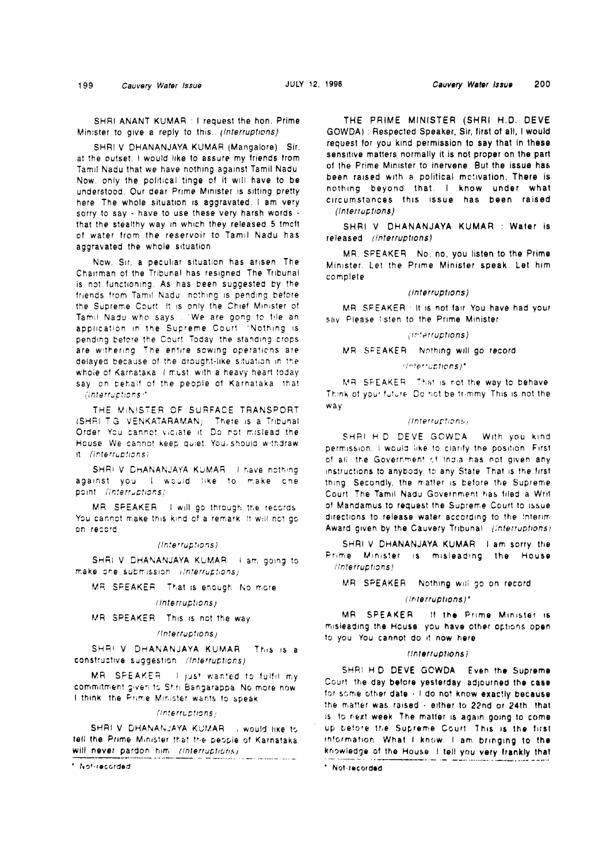199 Cauvery Water Issue JULY **12,** 1996 Cauvsry Water Issue **200** 

SHRI ANANT KUMAR : I request the hon. Prime Minister to give a reply to this..  $|$  (interruptions)

SHRI V DHANANJAYA KUMAR (Mangalore) . Sir. at the outset, I would like to assure my friends from Tam11 Nadu that we have nothing against Tamil Nadu Now, only the political tinge of it will have to be understood. Our dear Prime Minister is sitting pretty here The whole situation is aggravated. I am very sorry to say - have to use these very harsh words - that the stealthy way in which they released **5** tmcft of water from the reservoir to Tamil Nadu has aggravated the whole situation

Now, Sir, a peculiar situation has arisen The Chairman of the Tribunal has resigned The Tribunal is not functioning. As has been suggested by the friends from Tamil Nadu nothing is pending before the Supreme Court. It is only the Chief Minister of Tamil Nadu who says . "We are gong to file an application in the Supreme Court "Nothing is pending before the Court Today the standing crops are withering. The entire sowing operations are delayed because of the drought-like situation in the whoie of Karnataka I must, with a heavy heart today say on behalf of the people of Karnataka Iha!  $\langle$ interruptions $\cdot$ 

THE MINISTER OF SURFACE TRANSPORT ISHRI TG VENKATARAMAN) There is a Tribunal Order You cannot viciate it. Do not mislead the House. We cannot keep quiet. You. should withdraw  $+$  (Interruptions)

SHRI V DHANANJAYA KUMAR I have nothing against you I would like to make one point //nterruptions)

MR SPEAKER I will go through the records You cannot make this kind of a remark it will not go cn reccrd

(Interruptions)

SHRI V DHANANJAYA KUMAR i am. going to make one submission: ilnterruptions)

**IMR SPEAKER** That is enough No more

 $|$ *interruptions*)

MR SPEAKER. This is not the way

#### $f$ (interruptions)

SHRI V DHANANJAYA KUMAR This is a constructive suggestion (Interruptions)

MR SPEAKER if just wanted to fulfill my commitment given to Shri Bangarappa. No more now I think the Prime Mirister wants to speak

#### $Unterruptions<sub>j</sub>$

SHRI V DHANANJAYA KUMAR , would like to tell the Prime Minister that the people of Karnataka will never pardon him (interruptions)

' Irsf.reccrded

THE PRIME MINISTER (SHRI H.D. DEVE GOWDA) : Respected Speaker, Sir, first of all, I would request for you kind permission to say that in these sensitwe matters normally it is not proper on the part of the Prime Minister to inervene. But the issue has been raised with a political motivation. There is nothing beyond that I know under what circumstances this issue has been raised  $(International)$ 

SHRI V DHANANJAYA KUMAR : Water is released (Interruptions)

MR. SFEAKER No, no, you listen to the Prime Minister. Let the Prime Minister speak. Let him complete

#### (Interruptions)

MR SFEAKER . It is not fair You have had your say Please listen to the Prime Minister

#### (interruptions)

MR SPEAKER Nothing will go record

# ilinterruptions)\*

MR SPEAKER That is not the way to behave Think of your future. Do not be trimmy This is not the way

### (Interruptions)

SHRI H D DEVE GOWDA. With you kind permission. I would like to clarify the position. First of all the Government of India has not given any instructions to anybody, to any State. That is the first thing Secondly, the matter is before the Supreme Court The Tamil Nadu Government has filed a Writof Mandamus to request the Supreme Court to issue directions to release water according to the Interim-Award given by the Cauvery Tribunal (Interruptions)

SHRI V DHANANJAYA KUMAR 1 am sorry, the Frime Minister is misleading the House I'lnlerrupf~ons!

M9 SPEAKER Nothing will 30 on record

## (interruptions)\*

MR SPEAKER If the Prime Minister is misleading the House, you have other options open to you You cannot do 11 now hero

#### (Interruptions)

SHRI H D DEVE GOWDA Even the Supreme Ccjurt !he day before yesterday adpufned Ihe **case**  for some other date  $+1$  do not know exactly because the matter was raised  $+$  either to 22nd or 24th, that is to next week. The matter is again going to come up before the Supreme Court. This is the first information. What I know, I am bringing to the knowledge of the House 1 tell you very frankly that

' Nul~racorded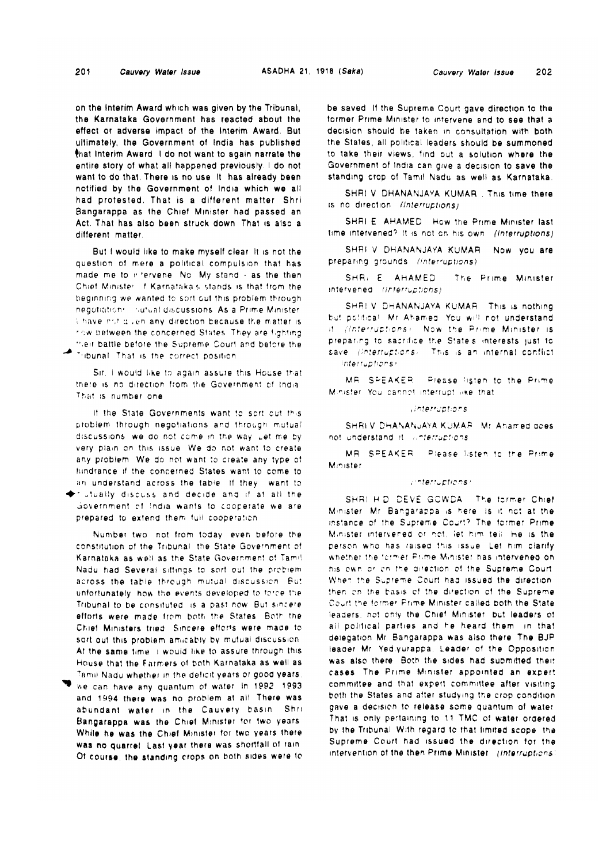on the Interim Award which was given by the Tribunal, the Karnataka Government has reacted about the effect or adverse impact of the Interim Award. But ultimately, the Government of India has published that Interim Award I do not want to again narrate the entire story of what all happened previously. I do not want to do that. There is no use it has already been notified by the Government of India which we all had protested. That is a different matter Shri-Bangarappa as the Chief Minister had passed an Act. That has also been struck down. That is also a different matter

But I would like to make myself clear it is not the question of mere a political compulsion that has made me to intervene. No. My stand - as the then Chief Minister of Karnataka's stands is that from the beginning we wanted to sort out this problem through negotiations in discussions. As a Prime Minister I have not given any direction because the matter is row between the concerned States. They are fighting their battle before the Supreme Court and before the Fibunal That is the correct position

Sir, I would like to again assure this House that there is no direction from the Government of India. That is number one

If the State Governments want to sort out this problem through negotiations and through mutual discussions, we do not come in the way, Let me by very plain on this issue. We do not want to create any problem. We do not want to create any type of hindrance if the concerned States want to come to an understand across the table. If they want to riutually discuss and decide and if at all the Government of India wants to cooperate we are prepared to extend them full cooperation

Number two not from today, even before the constitution of the Tribunal, the State Government of Karnataka as well as the State Government of Tamil Nadu had Several sittings to sort out the problem across the table through mutual discussion. But unfortunately, how the events developed to force the Tribunal to be consituted is a past now. But sincere efforts were made from both the States. Both the Chief Ministers tried. Sincere efforts were made to sort out this problem amicably by mutual discussion. At the same time it would like to assure through this House that the Farmers of both Karnataka as well as Tamil Nadu whether in the deficit years or good years.

we can have any quantum of water In 1992, 1993. and 1994 there was no problem at all There was abundant water in the Cauvery basin. Shri Bangarappa was the Chief Minister for two years. While he was the Chief Minister for two years there was no quarrel. Last year there was shortfall of rain. Of course, the standing crops on both sides were to be saved. If the Supreme Court gave direction to the former Prime Minister to intervene and to see that a decision should be taken in consultation with both the States, all political leaders should be summoned to take their views, find out a solution where the Government of India can give a decision to save the standing crop of Tamil Nadu as well as Karnataka.

SHRI V DHANANJAYA KUMAR . This time there is no direction. (Interruptions)

SHRI E AHAMED. How the Prime Minister last time intervened? It is not on his own (Interruptions).

SHRI V DHANANJAYA KUMAR Now you are preparing grounds (interruptions).

SHR. E AHAMED The Prime Minister intervened (interruptions)

SHRI V DHANANJAYA KUMAR This is nothing but political. Mr Ahamed. You will not understand. it (Interruptions). Now the Prime Minister is preparing to sacrifice the State's interests just to save (interruptions). This is an internal conflict Interruptions:

MR. SPEAKER. Please listen to the Prime. Minister. You cannot interrupt like that

*Interruptions* 

SHRIV DHANANJAYA KUMAR. Mr. Ahamed does not understand it innterruptions.

MR SPEAKER. Please listen to the Prime Minister

### interruptions).

SHRI HID DEVE GOWDA. The former Chief Minister. Mr. Bangarappa is here is it not at the instance of the Supreme Court? The former Prime Minister intervened or not, let him tell. He is the person who has raised this issue. Let him clarify whether the former Prime Minister has intervened on his own or childhe direction of the Subreme Court. When the Supreme Court had issued the direction. then on the basis of the direction of the Supreme Court the former Prime Minister called both the State leaders, not only the Chief Minister, but leaders of all political parties and he heard them in that delegation Mr. Bangarappa was also there The BJP. leader Mr. Yediyurappa, Leader of the Opposition. was also there. Both the sides had submitted their cases. The Prime Minister appointed an expert committee and that expert committee after visiting. both the States and after studying the crop condition. gave a decision to release some quantum of water. That is only pertaining to 11 TMC of water ordered. by the Tribunal. With regard to that limited scope, the Supreme Court had issued the direction for the intervention of the then Prime Minister (interruptions)